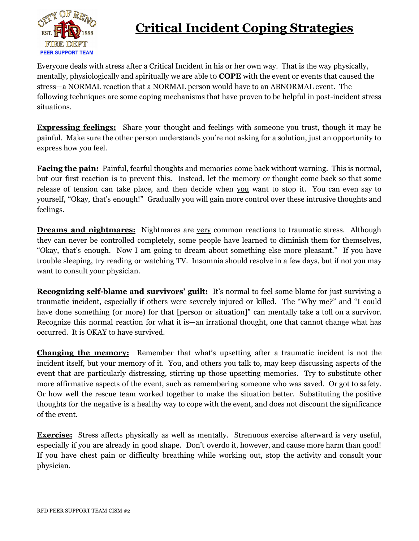

## **Critical Incident Coping Strategies**

Everyone deals with stress after a Critical Incident in his or her own way. That is the way physically, mentally, physiologically and spiritually we are able t0 **COPE** with the event or events that caused the stress—a NORMAL reaction that a NORMAL person would have to an ABNORMAL event. The following techniques are some coping mechanisms that have proven to be helpful in post-incident stress situations.

**Expressing feelings:** Share your thought and feelings with someone you trust, though it may be painful. Make sure the other person understands you're not asking for a solution, just an opportunity to express how you feel.

**Facing the pain:** Painful, fearful thoughts and memories come back without warning. This is normal, but our first reaction is to prevent this. Instead, let the memory or thought come back so that some release of tension can take place, and then decide when you want to stop it. You can even say to yourself, "Okay, that's enough!" Gradually you will gain more control over these intrusive thoughts and feelings.

**Dreams and nightmares:** Nightmares are very common reactions to traumatic stress. Although they can never be controlled completely, some people have learned to diminish them for themselves, "Okay, that's enough. Now I am going to dream about something else more pleasant." If you have trouble sleeping, try reading or watching TV. Insomnia should resolve in a few days, but if not you may want to consult your physician.

**Recognizing self-blame and survivors' guilt:** It's normal to feel some blame for just surviving a traumatic incident, especially if others were severely injured or killed. The "Why me?" and "I could have done something (or more) for that [person or situation]" can mentally take a toll on a survivor. Recognize this normal reaction for what it is—an irrational thought, one that cannot change what has occurred. It is OKAY to have survived.

**Changing the memory:** Remember that what's upsetting after a traumatic incident is not the incident itself, but your memory of it. You, and others you talk to, may keep discussing aspects of the event that are particularly distressing, stirring up those upsetting memories. Try to substitute other more affirmative aspects of the event, such as remembering someone who was saved. Or got to safety. Or how well the rescue team worked together to make the situation better. Substituting the positive thoughts for the negative is a healthy way to cope with the event, and does not discount the significance of the event.

**Exercise:** Stress affects physically as well as mentally. Strenuous exercise afterward is very useful, especially if you are already in good shape. Don't overdo it, however, and cause more harm than good! If you have chest pain or difficulty breathing while working out, stop the activity and consult your physician.